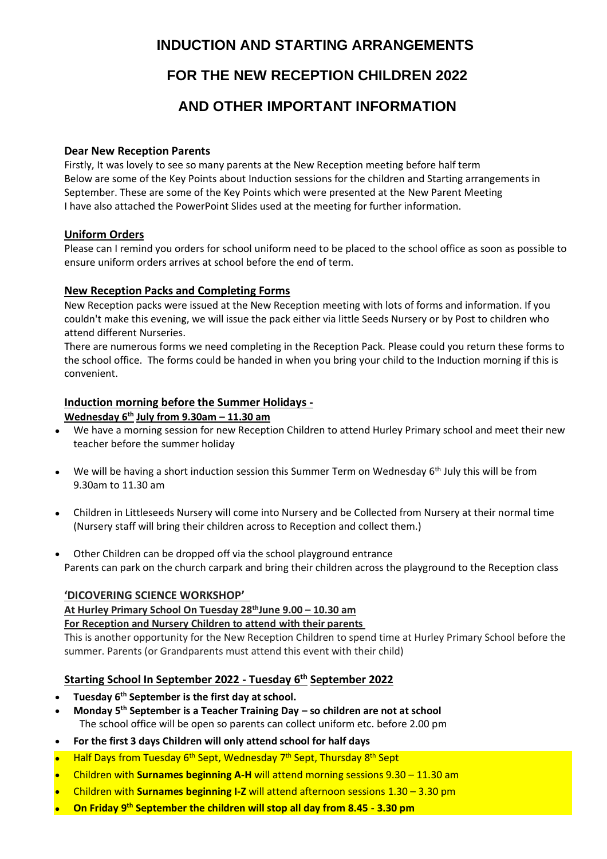# **INDUCTION AND STARTING ARRANGEMENTS**

# **FOR THE NEW RECEPTION CHILDREN 2022**

# **AND OTHER IMPORTANT INFORMATION**

### **Dear New Reception Parents**

Firstly, It was lovely to see so many parents at the New Reception meeting before half term Below are some of the Key Points about Induction sessions for the children and Starting arrangements in September. These are some of the Key Points which were presented at the New Parent Meeting I have also attached the PowerPoint Slides used at the meeting for further information.

# **Uniform Orders**

Please can I remind you orders for school uniform need to be placed to the school office as soon as possible to ensure uniform orders arrives at school before the end of term.

# **New Reception Packs and Completing Forms**

New Reception packs were issued at the New Reception meeting with lots of forms and information. If you couldn't make this evening, we will issue the pack either via little Seeds Nursery or by Post to children who attend different Nurseries.

There are numerous forms we need completing in the Reception Pack. Please could you return these forms to the school office. The forms could be handed in when you bring your child to the Induction morning if this is convenient.

# **Induction morning before the Summer Holidays -**

#### **Wednesday 6th July from 9.30am – 11.30 am**

- We have a morning session for new Reception Children to attend Hurley Primary school and meet their new teacher before the summer holiday
- We will be having a short induction session this Summer Term on Wednesday  $6<sup>th</sup>$  July this will be from 9.30am to 11.30 am
- Children in Littleseeds Nursery will come into Nursery and be Collected from Nursery at their normal time (Nursery staff will bring their children across to Reception and collect them.)
- Other Children can be dropped off via the school playground entrance Parents can park on the church carpark and bring their children across the playground to the Reception class

# **'DICOVERING SCIENCE WORKSHOP'**

**At Hurley Primary School On Tuesday 28thJune 9.00 – 10.30 am**

# **For Reception and Nursery Children to attend with their parents**

This is another opportunity for the New Reception Children to spend time at Hurley Primary School before the summer. Parents (or Grandparents must attend this event with their child)

# **Starting School In September 2022 - Tuesday 6th September 2022**

- **Tuesday 6th September is the first day at school.**
- **Monday 5th September is a Teacher Training Day – so children are not at school** The school office will be open so parents can collect uniform etc. before 2.00 pm
- **For the first 3 days Children will only attend school for half days**
- Half Days from Tuesday 6<sup>th</sup> Sept, Wednesday 7<sup>th</sup> Sept, Thursday 8<sup>th</sup> Sept
- Children with **Surnames beginning A-H** will attend morning sessions 9.30 11.30 am
- Children with **Surnames beginning I-Z** will attend afternoon sessions 1.30 3.30 pm
- On Friday 9<sup>th</sup> September the children will stop all day from 8.45 3.30 pm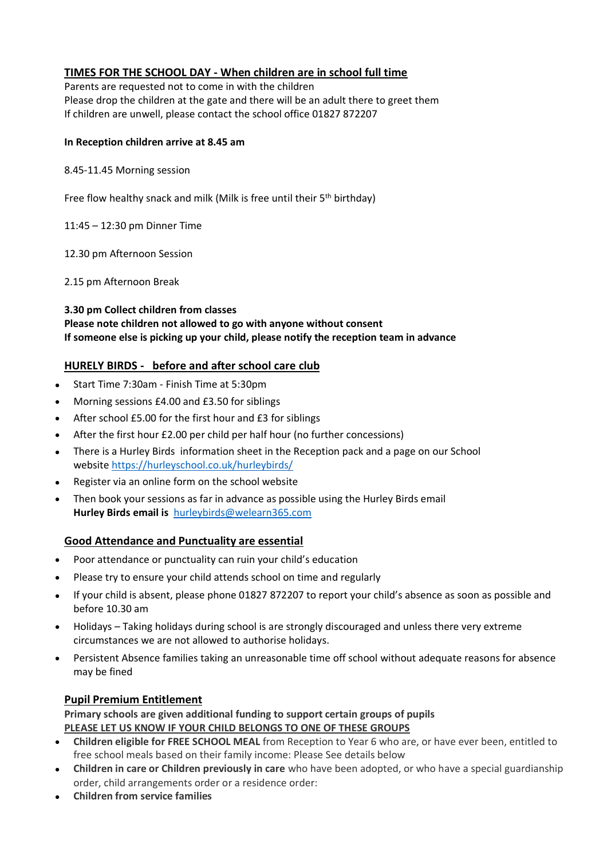# **TIMES FOR THE SCHOOL DAY - When children are in school full time**

Parents are requested not to come in with the children Please drop the children at the gate and there will be an adult there to greet them If children are unwell, please contact the school office 01827 872207

#### **In Reception children arrive at 8.45 am**

#### 8.45-11.45 Morning session

Free flow healthy snack and milk (Milk is free until their 5<sup>th</sup> birthday)

11:45 – 12:30 pm Dinner Time

12.30 pm Afternoon Session

2.15 pm Afternoon Break

**3.30 pm Collect children from classes Please note children not allowed to go with anyone without consent If someone else is picking up your child, please notify the reception team in advance**

# **HURELY BIRDS - before and after school care club**

- Start Time 7:30am Finish Time at 5:30pm
- Morning sessions £4.00 and £3.50 for siblings
- After school £5.00 for the first hour and £3 for siblings
- After the first hour £2.00 per child per half hour (no further concessions)
- There is a Hurley Birds information sheet in the Reception pack and a page on our School website <https://hurleyschool.co.uk/hurleybirds/>
- Register via an online form on the school website
- Then book your sessions as far in advance as possible using the Hurley Birds email **Hurley Birds email is** [hurleybirds@welearn365.com](mailto:hurleybirds@welearn365.com)

# **Good Attendance and Punctuality are essential**

- Poor attendance or punctuality can ruin your child's education
- Please try to ensure your child attends school on time and regularly
- If your child is absent, please phone 01827 872207 to report your child's absence as soon as possible and before 10.30 am
- Holidays Taking holidays during school is are strongly discouraged and unless there very extreme circumstances we are not allowed to authorise holidays.
- Persistent Absence families taking an unreasonable time off school without adequate reasons for absence may be fined

# **Pupil Premium Entitlement**

**Primary schools are given additional funding to support certain groups of pupils PLEASE LET US KNOW IF YOUR CHILD BELONGS TO ONE OF THESE GROUPS**

- **Children eligible for FREE SCHOOL MEAL** from Reception to Year 6 who are, or have ever been, entitled to free school meals based on their family income: Please See details below
- **Children in care or Children previously in care** who have been adopted, or who have a special guardianship order, child arrangements order or a residence order:
- **Children from service families**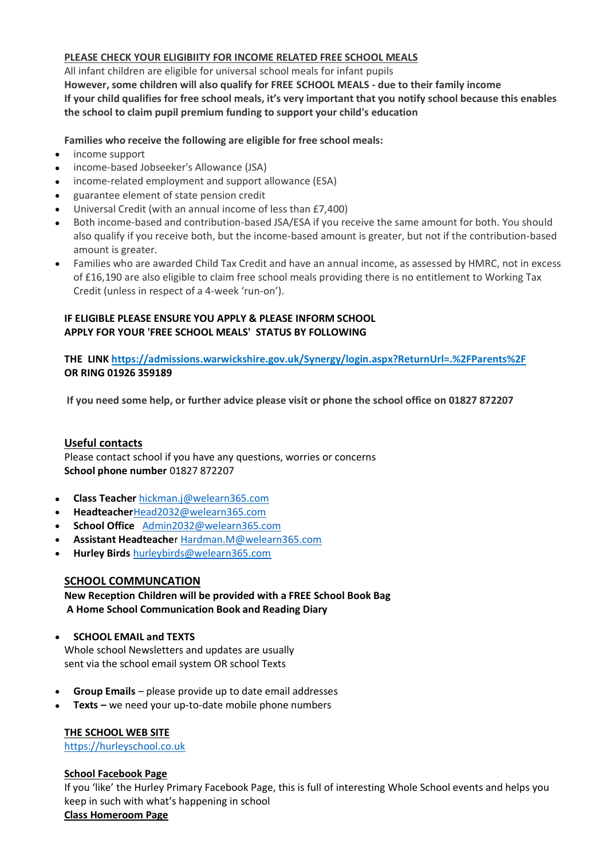# **PLEASE CHECK YOUR ELIGIBIITY FOR INCOME RELATED FREE SCHOOL MEALS**

All infant children are eligible for universal school meals for infant pupils **However, some children will also qualify for FREE SCHOOL MEALS - due to their family income If your child qualifies for free school meals, it's very important that you notify school because this enables** 

**the school to claim pupil premium funding to support your child's education**

**Families who receive the following are eligible for free school meals:**

- income support
- income-based Jobseeker's Allowance (JSA)
- income-related employment and support allowance (ESA)
- guarantee element of state pension credit
- Universal Credit (with an annual income of less than £7,400)
- Both income-based and contribution-based JSA/ESA if you receive the same amount for both. You should also qualify if you receive both, but the income-based amount is greater, but not if the contribution-based amount is greater.
- Families who are awarded Child Tax Credit and have an annual income, as assessed by HMRC, not in excess of £16,190 are also eligible to claim free school meals providing there is no entitlement to Working Tax Credit (unless in respect of a 4-week 'run-on').

# **IF ELIGIBLE PLEASE ENSURE YOU APPLY & PLEASE INFORM SCHOOL APPLY FOR YOUR 'FREE SCHOOL MEALS' STATUS BY FOLLOWING**

**THE LINK [https://admissions.warwickshire.gov.uk/Synergy/login.aspx?ReturnUrl=.%2FParents%2F](https://eur02.safelinks.protection.outlook.com/?url=https%3A%2F%2Fadmissions.warwickshire.gov.uk%2FSynergy%2Flogin.aspx%3FReturnUrl%3D.%252FParents%252F&data=02%7C01%7Cwebmaster%40warwickshire.gov.uk%7Cfad020750d794a4e39a908d792b37c1b%7C88b0aa0659274bbba89389cc2713ac82%7C0%7C0%7C637139171884953745&sdata=femBOYQnRSqjRFdCSNA5GlX8xLxxdSP11YVrC%2B4bzXw%3D&reserved=0) OR RING 01926 359189**

**If you need some help, or further advice please visit or phone the school office on 01827 872207**

# **Useful contacts**

Please contact school if you have any questions, worries or concerns **School phone number** 01827 872207

- **Class Teacher** [hickman.j@welearn365.com](mailto:hickman.j@welearn365.com)
- **Headteacher**[Head2032@welearn365.com](mailto:Head2032@welearn365.com)
- **School Office** [Admin2032@welearn365.com](mailto:Admin2032@welearn365.com)
- **Assistant Headteache**r [Hardman.M@welearn365.com](mailto:Hardman.M@welearn365.com)
- **Hurley Birds** [hurleybirds@welearn365.com](mailto:hurleybirds@welearn365.com)

# **SCHOOL COMMUNCATION**

**New Reception Children will be provided with a FREE School Book Bag A Home School Communication Book and Reading Diary**

• **SCHOOL EMAIL and TEXTS**

Whole school Newsletters and updates are usually sent via the school email system OR school Texts

- **Group Emails** please provide up to date email addresses
- **Texts –** we need your up-to-date mobile phone numbers

# **THE SCHOOL WEB SITE**

[https://hurleyschool.co.uk](https://hurleyschool.co.uk/)

# **School Facebook Page**

If you 'like' the Hurley Primary Facebook Page, this is full of interesting Whole School events and helps you keep in such with what's happening in school

#### **Class Homeroom Page**